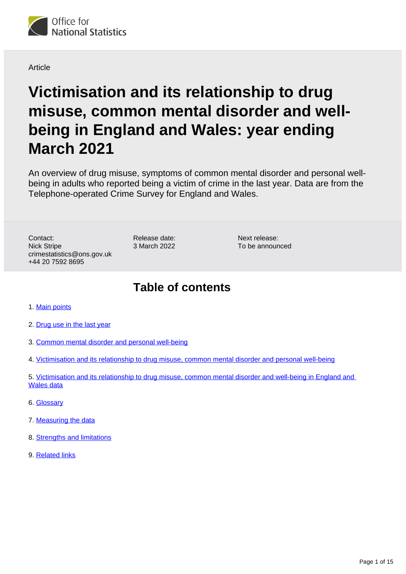

Article

# **Victimisation and its relationship to drug misuse, common mental disorder and wellbeing in England and Wales: year ending March 2021**

An overview of drug misuse, symptoms of common mental disorder and personal wellbeing in adults who reported being a victim of crime in the last year. Data are from the Telephone-operated Crime Survey for England and Wales.

Contact: Nick Stripe crimestatistics@ons.gov.uk +44 20 7592 8695

Release date: 3 March 2022 Next release: To be announced

## **Table of contents**

- 1. [Main points](#page-1-0)
- 2. [Drug use in the last year](#page-1-1)
- 3. [Common mental disorder and personal well-being](#page-5-0)
- 4. [Victimisation and its relationship to drug misuse, common mental disorder and personal well-being](#page-5-1)
- 5. [Victimisation and its relationship to drug misuse, common mental disorder and well-being in England and](#page-9-0)  [Wales data](#page-9-0)
- 6. [Glossary](#page-9-1)
- 7. [Measuring the data](#page-10-0)
- 8. [Strengths and limitations](#page-13-0)
- 9. [Related links](#page-14-0)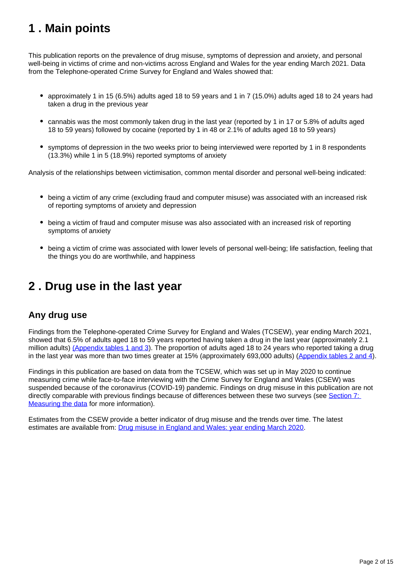## <span id="page-1-0"></span>**1 . Main points**

This publication reports on the prevalence of drug misuse, symptoms of depression and anxiety, and personal well-being in victims of crime and non-victims across England and Wales for the year ending March 2021. Data from the Telephone-operated Crime Survey for England and Wales showed that:

- approximately 1 in 15 (6.5%) adults aged 18 to 59 years and 1 in 7 (15.0%) adults aged 18 to 24 years had taken a drug in the previous year
- cannabis was the most commonly taken drug in the last year (reported by 1 in 17 or 5.8% of adults aged 18 to 59 years) followed by cocaine (reported by 1 in 48 or 2.1% of adults aged 18 to 59 years)
- symptoms of depression in the two weeks prior to being interviewed were reported by 1 in 8 respondents (13.3%) while 1 in 5 (18.9%) reported symptoms of anxiety

Analysis of the relationships between victimisation, common mental disorder and personal well-being indicated:

- being a victim of any crime (excluding fraud and computer misuse) was associated with an increased risk of reporting symptoms of anxiety and depression
- being a victim of fraud and computer misuse was also associated with an increased risk of reporting symptoms of anxiety
- being a victim of crime was associated with lower levels of personal well-being; life satisfaction, feeling that the things you do are worthwhile, and happiness

## <span id="page-1-1"></span>**2 . Drug use in the last year**

### **Any drug use**

Findings from the Telephone-operated Crime Survey for England and Wales (TCSEW), year ending March 2021, showed that 6.5% of adults aged 18 to 59 years reported having taken a drug in the last year (approximately 2.1 million adults) [\(Appendix tables 1 and 3\)](/peoplepopulationandcommunity/crimeandjustice/datasets/victimisationanditsrelationshiptodrugmisusecommonmentaldisorderandwellbeinginenglandandwales). The proportion of adults aged 18 to 24 years who reported taking a drug in the last year was more than two times greater at 15% (approximately 693,000 adults) ([Appendix tables 2 and 4](/peoplepopulationandcommunity/crimeandjustice/datasets/victimisationanditsrelationshiptodrugmisusecommonmentaldisorderandwellbeinginenglandandwales)).

Findings in this publication are based on data from the TCSEW, which was set up in May 2020 to continue measuring crime while face-to-face interviewing with the Crime Survey for England and Wales (CSEW) was suspended because of the coronavirus (COVID-19) pandemic. Findings on drug misuse in this publication are not directly comparable with previous findings because of differences between these two surveys (see Section 7: [Measuring the data](/peoplepopulationandcommunity/crimeandjustice/articles/victimisationanditsrelationshiptodrugmisusecommonmentalhealthdisorderandwellbeinginenglandandwales/yearendingmarch2021#measuring-the-data) for more information).

Estimates from the CSEW provide a better indicator of drug misuse and the trends over time. The latest estimates are available from: [Drug misuse in England and Wales: year ending March 2020](https://www.ons.gov.uk/peoplepopulationandcommunity/crimeandjustice/articles/drugmisuseinenglandandwales/yearendingmarch2020).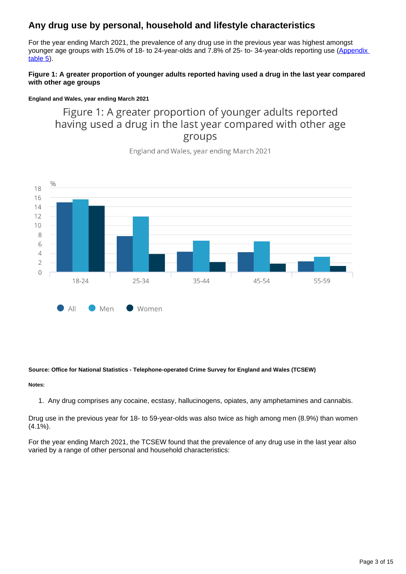## **Any drug use by personal, household and lifestyle characteristics**

For the year ending March 2021, the prevalence of any drug use in the previous year was highest amongst younger age groups with 15.0% of 18- to 24-year-olds and 7.8% of 25- to-34-year-olds reporting use (Appendix [table 5](/peoplepopulationandcommunity/crimeandjustice/datasets/victimisationanditsrelationshiptodrugmisusecommonmentaldisorderandwellbeinginenglandandwales)).

#### **Figure 1: A greater proportion of younger adults reported having used a drug in the last year compared with other age groups**

#### **England and Wales, year ending March 2021**

## Figure 1: A greater proportion of younger adults reported having used a drug in the last year compared with other age groups



England and Wales, year ending March 2021

#### **Source: Office for National Statistics - Telephone-operated Crime Survey for England and Wales (TCSEW)**

#### **Notes:**

1. Any drug comprises any cocaine, ecstasy, hallucinogens, opiates, any amphetamines and cannabis.

Drug use in the previous year for 18- to 59-year-olds was also twice as high among men (8.9%) than women (4.1%).

For the year ending March 2021, the TCSEW found that the prevalence of any drug use in the last year also varied by a range of other personal and household characteristics: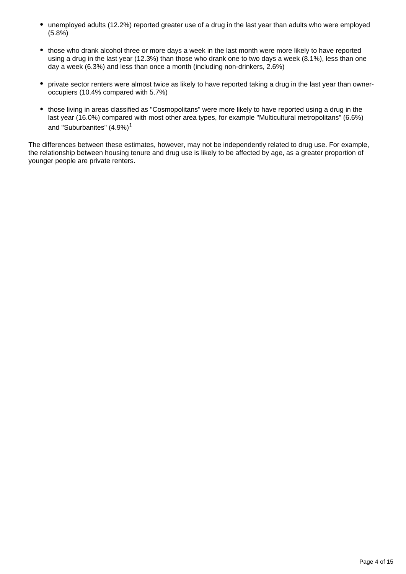- unemployed adults (12.2%) reported greater use of a drug in the last year than adults who were employed (5.8%)
- those who drank alcohol three or more days a week in the last month were more likely to have reported using a drug in the last year (12.3%) than those who drank one to two days a week (8.1%), less than one day a week (6.3%) and less than once a month (including non-drinkers, 2.6%)
- private sector renters were almost twice as likely to have reported taking a drug in the last year than owneroccupiers (10.4% compared with 5.7%)
- those living in areas classified as "Cosmopolitans" were more likely to have reported using a drug in the last year (16.0%) compared with most other area types, for example "Multicultural metropolitans" (6.6%) and "Suburbanites" (4.9%)<sup>1</sup>

The differences between these estimates, however, may not be independently related to drug use. For example, the relationship between housing tenure and drug use is likely to be affected by age, as a greater proportion of younger people are private renters.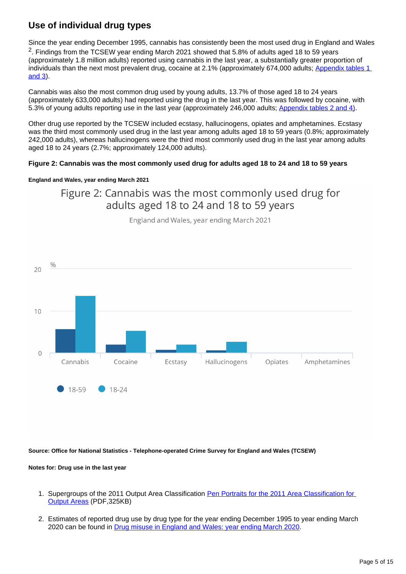## **Use of individual drug types**

Since the year ending December 1995, cannabis has consistently been the most used drug in England and Wales <sup>2</sup>. Findings from the TCSEW year ending March 2021 showed that 5.8% of adults aged 18 to 59 years (approximately 1.8 million adults) reported using cannabis in the last year, a substantially greater proportion of individuals than the next most prevalent drug, cocaine at 2.1% (approximately 674,000 adults; Appendix tables 1 [and 3](/peoplepopulationandcommunity/crimeandjustice/datasets/victimisationanditsrelationshiptodrugmisusecommonmentaldisorderandwellbeinginenglandandwales)).

Cannabis was also the most common drug used by young adults, 13.7% of those aged 18 to 24 years (approximately 633,000 adults) had reported using the drug in the last year. This was followed by cocaine, with 5.3% of young adults reporting use in the last year (approximately 246,000 adults; [Appendix tables 2 and 4\)](/peoplepopulationandcommunity/crimeandjustice/datasets/victimisationanditsrelationshiptodrugmisusecommonmentaldisorderandwellbeinginenglandandwales).

Other drug use reported by the TCSEW included ecstasy, hallucinogens, opiates and amphetamines. Ecstasy was the third most commonly used drug in the last year among adults aged 18 to 59 years (0.8%; approximately 242,000 adults), whereas hallucinogens were the third most commonly used drug in the last year among adults aged 18 to 24 years (2.7%; approximately 124,000 adults).

#### **Figure 2: Cannabis was the most commonly used drug for adults aged 18 to 24 and 18 to 59 years**

#### **England and Wales, year ending March 2021**

Figure 2: Cannabis was the most commonly used drug for adults aged 18 to 24 and 18 to 59 years



England and Wales, year ending March 2021

**Source: Office for National Statistics - Telephone-operated Crime Survey for England and Wales (TCSEW)**

#### **Notes for: Drug use in the last year**

- 1. Supergroups of the 2011 Output Area Classification Pen Portraits for the 2011 Area Classification for [Output Areas](https://www.ons.gov.uk/file?uri=/methodology/geography/geographicalproducts/areaclassifications/2011areaclassifications/penportraitsandradialplots/penportraits.pdf) (PDF,325KB)
- 2. Estimates of reported drug use by drug type for the year ending December 1995 to year ending March 2020 can be found in [Drug misuse in England and Wales: year ending March 2020](https://www.ons.gov.uk/peoplepopulationandcommunity/crimeandjustice/articles/drugmisuseinenglandandwales/yearendingmarch2020).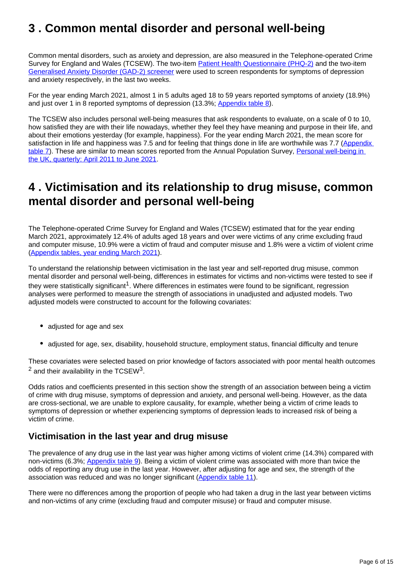## <span id="page-5-0"></span>**3 . Common mental disorder and personal well-being**

Common mental disorders, such as anxiety and depression, are also measured in the Telephone-operated Crime Survey for England and Wales (TCSEW). The two-item **Patient Health Questionnaire (PHQ-2)** and the two-item [Generalised Anxiety Disorder \(GAD-2\) screener](https://www.phqscreeners.com/) were used to screen respondents for symptoms of depression and anxiety respectively, in the last two weeks.

For the year ending March 2021, almost 1 in 5 adults aged 18 to 59 years reported symptoms of anxiety (18.9%) and just over 1 in 8 reported symptoms of depression (13.3%; [Appendix table 8\)](/peoplepopulationandcommunity/crimeandjustice/datasets/victimisationanditsrelationshiptodrugmisusecommonmentaldisorderandwellbeinginenglandandwales).

The TCSEW also includes personal well-being measures that ask respondents to evaluate, on a scale of 0 to 10, how satisfied they are with their life nowadays, whether they feel they have meaning and purpose in their life, and about their emotions yesterday (for example, happiness). For the year ending March 2021, the mean score for satisfaction in life and happiness was 7.5 and for feeling that things done in life are worthwhile was 7.7 (Appendix [table 7](/peoplepopulationandcommunity/crimeandjustice/datasets/victimisationanditsrelationshiptodrugmisusecommonmentaldisorderandwellbeinginenglandandwales)). These are similar to mean scores reported from the Annual Population Survey, Personal well-being in [the UK, quarterly: April 2011 to June 2021.](https://www.ons.gov.uk/peoplepopulationandcommunity/wellbeing/bulletins/personalwellbeingintheukquarterly/april2011tojune2021)

## <span id="page-5-1"></span>**4 . Victimisation and its relationship to drug misuse, common mental disorder and personal well-being**

The Telephone-operated Crime Survey for England and Wales (TCSEW) estimated that for the year ending March 2021, approximately 12.4% of adults aged 18 years and over were victims of any crime excluding fraud and computer misuse, 10.9% were a victim of fraud and computer misuse and 1.8% were a victim of violent crime [\(Appendix tables, year ending March 2021](https://www.ons.gov.uk/peoplepopulationandcommunity/crimeandjustice/datasets/crimeinenglandandwalesappendixtables)).

To understand the relationship between victimisation in the last year and self-reported drug misuse, common mental disorder and personal well-being, differences in estimates for victims and non-victims were tested to see if they were statistically significant<sup>1</sup>. Where differences in estimates were found to be significant, regression analyses were performed to measure the strength of associations in unadjusted and adjusted models. Two adjusted models were constructed to account for the following covariates:

- adjusted for age and sex
- adjusted for age, sex, disability, household structure, employment status, financial difficulty and tenure

These covariates were selected based on prior knowledge of factors associated with poor mental health outcomes  $^2$  and their availability in the TCSEW<sup>3</sup>.

Odds ratios and coefficients presented in this section show the strength of an association between being a victim of crime with drug misuse, symptoms of depression and anxiety, and personal well-being. However, as the data are cross-sectional, we are unable to explore causality, for example, whether being a victim of crime leads to symptoms of depression or whether experiencing symptoms of depression leads to increased risk of being a victim of crime.

### **Victimisation in the last year and drug misuse**

The prevalence of any drug use in the last year was higher among victims of violent crime (14.3%) compared with non-victims (6.3%; [Appendix table 9\)](/peoplepopulationandcommunity/crimeandjustice/datasets/victimisationanditsrelationshiptodrugmisusecommonmentaldisorderandwellbeinginenglandandwales). Being a victim of violent crime was associated with more than twice the odds of reporting any drug use in the last year. However, after adjusting for age and sex, the strength of the association was reduced and was no longer significant [\(Appendix table 11](/peoplepopulationandcommunity/crimeandjustice/datasets/victimisationanditsrelationshiptodrugmisusecommonmentaldisorderandwellbeinginenglandandwales)).

There were no differences among the proportion of people who had taken a drug in the last year between victims and non-victims of any crime (excluding fraud and computer misuse) or fraud and computer misuse.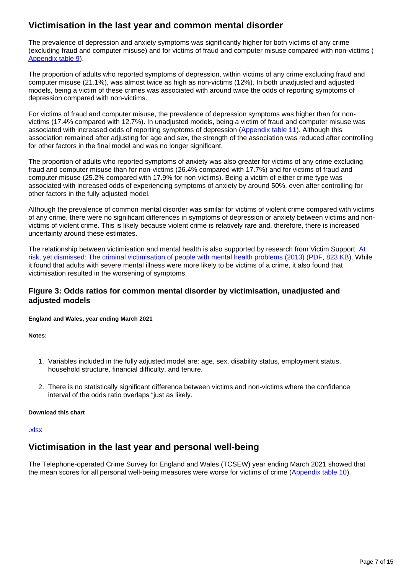## **Victimisation in the last year and common mental disorder**

The prevalence of depression and anxiety symptoms was significantly higher for both victims of any crime (excluding fraud and computer misuse) and for victims of fraud and computer misuse compared with non-victims ( [Appendix table 9\)](/peoplepopulationandcommunity/crimeandjustice/datasets/victimisationanditsrelationshiptodrugmisusecommonmentaldisorderandwellbeinginenglandandwales).

The proportion of adults who reported symptoms of depression, within victims of any crime excluding fraud and computer misuse (21.1%), was almost twice as high as non-victims (12%). In both unadjusted and adjusted models, being a victim of these crimes was associated with around twice the odds of reporting symptoms of depression compared with non-victims.

For victims of fraud and computer misuse, the prevalence of depression symptoms was higher than for nonvictims (17.4% compared with 12.7%). In unadjusted models, being a victim of fraud and computer misuse was associated with increased odds of reporting symptoms of depression ([Appendix table 11\)](/peoplepopulationandcommunity/crimeandjustice/datasets/victimisationanditsrelationshiptodrugmisusecommonmentaldisorderandwellbeinginenglandandwales). Although this association remained after adjusting for age and sex, the strength of the association was reduced after controlling for other factors in the final model and was no longer significant.

The proportion of adults who reported symptoms of anxiety was also greater for victims of any crime excluding fraud and computer misuse than for non-victims (26.4% compared with 17.7%) and for victims of fraud and computer misuse (25.2% compared with 17.9% for non-victims). Being a victim of either crime type was associated with increased odds of experiencing symptoms of anxiety by around 50%, even after controlling for other factors in the fully adjusted model.

Although the prevalence of common mental disorder was similar for victims of violent crime compared with victims of any crime, there were no significant differences in symptoms of depression or anxiety between victims and nonvictims of violent crime. This is likely because violent crime is relatively rare and, therefore, there is increased uncertainty around these estimates.

The relationship between victimisation and mental health is also supported by research from Victim Support, [At](https://www.victimsupport.org.uk/wp-content/uploads/documents/files/At%20risk%2C%20yet%20dismissed%20-%20summary.pdf)  [risk, yet dismissed: The criminal victimisation of people with mental health problems \(2013\) \(PDF, 823 KB\)](https://www.victimsupport.org.uk/wp-content/uploads/documents/files/At%20risk%2C%20yet%20dismissed%20-%20summary.pdf). While it found that adults with severe mental illness were more likely to be victims of a crime, it also found that victimisation resulted in the worsening of symptoms.

#### **Figure 3: Odds ratios for common mental disorder by victimisation, unadjusted and adjusted models**

#### **England and Wales, year ending March 2021**

**Notes:**

- 1. Variables included in the fully adjusted model are: age, sex, disability status, employment status, household structure, financial difficulty, and tenure.
- 2. There is no statistically significant difference between victims and non-victims where the confidence interval of the odds ratio overlaps "just as likely.

#### **Download this chart**

#### [.xlsx](https://www.ons.gov.uk/visualisations/dvc1835/fig3/ddatadownload.xlsx)

### **Victimisation in the last year and personal well-being**

The Telephone-operated Crime Survey for England and Wales (TCSEW) year ending March 2021 showed that the mean scores for all personal well-being measures were worse for victims of crime ([Appendix table 10\)](/peoplepopulationandcommunity/crimeandjustice/datasets/victimisationanditsrelationshiptodrugmisusecommonmentaldisorderandwellbeinginenglandandwales).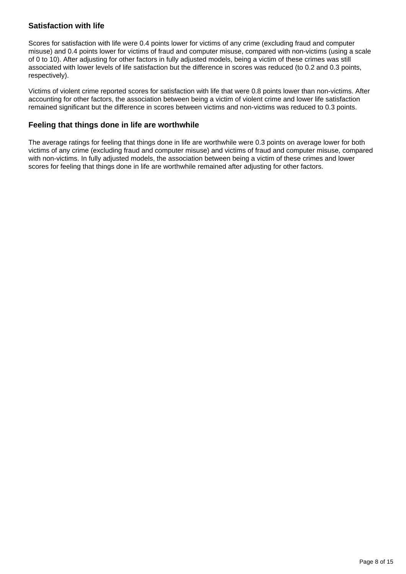#### **Satisfaction with life**

Scores for satisfaction with life were 0.4 points lower for victims of any crime (excluding fraud and computer misuse) and 0.4 points lower for victims of fraud and computer misuse, compared with non-victims (using a scale of 0 to 10). After adjusting for other factors in fully adjusted models, being a victim of these crimes was still associated with lower levels of life satisfaction but the difference in scores was reduced (to 0.2 and 0.3 points, respectively).

Victims of violent crime reported scores for satisfaction with life that were 0.8 points lower than non-victims. After accounting for other factors, the association between being a victim of violent crime and lower life satisfaction remained significant but the difference in scores between victims and non-victims was reduced to 0.3 points.

#### **Feeling that things done in life are worthwhile**

The average ratings for feeling that things done in life are worthwhile were 0.3 points on average lower for both victims of any crime (excluding fraud and computer misuse) and victims of fraud and computer misuse, compared with non-victims. In fully adjusted models, the association between being a victim of these crimes and lower scores for feeling that things done in life are worthwhile remained after adjusting for other factors.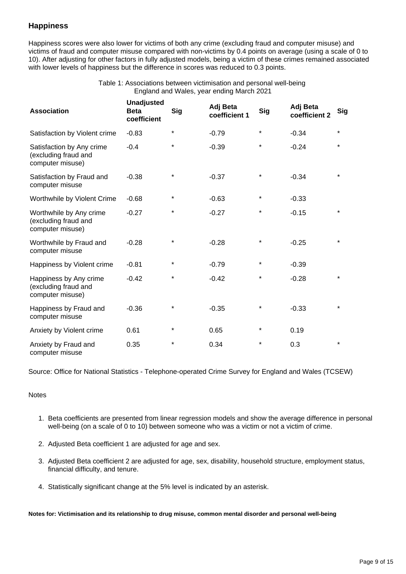#### **Happiness**

Happiness scores were also lower for victims of both any crime (excluding fraud and computer misuse) and victims of fraud and computer misuse compared with non-victims by 0.4 points on average (using a scale of 0 to 10). After adjusting for other factors in fully adjusted models, being a victim of these crimes remained associated with lower levels of happiness but the difference in scores was reduced to 0.3 points.

> Table 1: Associations between victimisation and personal well-being England and Wales, year ending March 2021

| <b>Association</b>                                                    | <b>Unadjusted</b><br><b>Beta</b><br>coefficient | <b>Sig</b> | Adj Beta<br>coefficient 1 | <b>Sig</b> | Adj Beta<br>coefficient 2 | <b>Sig</b> |
|-----------------------------------------------------------------------|-------------------------------------------------|------------|---------------------------|------------|---------------------------|------------|
| Satisfaction by Violent crime                                         | $-0.83$                                         | $^\star$   | $-0.79$                   | $^\star$   | $-0.34$                   | $\star$    |
| Satisfaction by Any crime<br>(excluding fraud and<br>computer misuse) | $-0.4$                                          | $\star$    | $-0.39$                   | $\star$    | $-0.24$                   | *          |
| Satisfaction by Fraud and<br>computer misuse                          | $-0.38$                                         | *          | $-0.37$                   | ¥          | $-0.34$                   | *          |
| Worthwhile by Violent Crime                                           | $-0.68$                                         | $\star$    | $-0.63$                   | *          | $-0.33$                   |            |
| Worthwhile by Any crime<br>(excluding fraud and<br>computer misuse)   | $-0.27$                                         | *          | $-0.27$                   | $\star$    | $-0.15$                   | *          |
| Worthwhile by Fraud and<br>computer misuse                            | $-0.28$                                         | *          | $-0.28$                   | *          | $-0.25$                   | *          |
| Happiness by Violent crime                                            | $-0.81$                                         | $\star$    | $-0.79$                   | $\star$    | $-0.39$                   |            |
| Happiness by Any crime<br>(excluding fraud and<br>computer misuse)    | $-0.42$                                         | $\star$    | $-0.42$                   | $\star$    | $-0.28$                   | $\star$    |
| Happiness by Fraud and<br>computer misuse                             | $-0.36$                                         | $\star$    | $-0.35$                   | *          | $-0.33$                   | *          |
| Anxiety by Violent crime                                              | 0.61                                            | $^\star$   | 0.65                      | $^\star$   | 0.19                      |            |
| Anxiety by Fraud and<br>computer misuse                               | 0.35                                            | *          | 0.34                      | *          | 0.3                       | $\star$    |

Source: Office for National Statistics - Telephone-operated Crime Survey for England and Wales (TCSEW)

#### **Notes**

- 1. Beta coefficients are presented from linear regression models and show the average difference in personal well-being (on a scale of 0 to 10) between someone who was a victim or not a victim of crime.
- 2. Adjusted Beta coefficient 1 are adjusted for age and sex.
- 3. Adjusted Beta coefficient 2 are adjusted for age, sex, disability, household structure, employment status, financial difficulty, and tenure.
- 4. Statistically significant change at the 5% level is indicated by an asterisk.

**Notes for: Victimisation and its relationship to drug misuse, common mental disorder and personal well-being**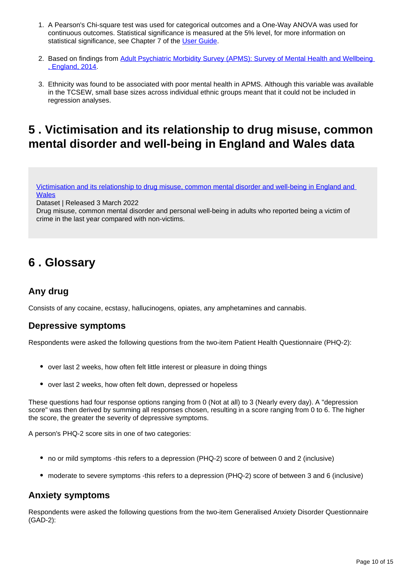- 1. A Pearson's Chi-square test was used for categorical outcomes and a One-Way ANOVA was used for continuous outcomes. Statistical significance is measured at the 5% level, for more information on statistical significance, see Chapter 7 of the [User Guide](https://www.ons.gov.uk/peoplepopulationandcommunity/crimeandjustice/methodologies/userguidetocrimestatisticsforenglandandwalesmeasuringcrimeduringthecoronaviruscovid19pandemic).
- 2. Based on findings from Adult Psychiatric Morbidity Survey (APMS): Survey of Mental Health and Wellbeing [, England, 2014](https://digital.nhs.uk/data-and-information/publications/statistical/adult-psychiatric-morbidity-survey/adult-psychiatric-morbidity-survey-survey-of-mental-health-and-wellbeing-england-2014).
- 3. Ethnicity was found to be associated with poor mental health in APMS. Although this variable was available in the TCSEW, small base sizes across individual ethnic groups meant that it could not be included in regression analyses.

## <span id="page-9-0"></span>**5 . Victimisation and its relationship to drug misuse, common mental disorder and well-being in England and Wales data**

[Victimisation and its relationship to drug misuse, common mental disorder and well-being in England and](/peoplepopulationandcommunity/crimeandjustice/datasets/victimisationanditsrelationshiptodrugmisusecommonmentaldisorderandwellbeinginenglandandwales)  **[Wales](/peoplepopulationandcommunity/crimeandjustice/datasets/victimisationanditsrelationshiptodrugmisusecommonmentaldisorderandwellbeinginenglandandwales)** 

Dataset | Released 3 March 2022

Drug misuse, common mental disorder and personal well-being in adults who reported being a victim of crime in the last year compared with non-victims.

## <span id="page-9-1"></span>**6 . Glossary**

## **Any drug**

Consists of any cocaine, ecstasy, hallucinogens, opiates, any amphetamines and cannabis.

### **Depressive symptoms**

Respondents were asked the following questions from the two-item Patient Health Questionnaire (PHQ-2):

- over last 2 weeks, how often felt little interest or pleasure in doing things
- over last 2 weeks, how often felt down, depressed or hopeless

These questions had four response options ranging from 0 (Not at all) to 3 (Nearly every day). A "depression score" was then derived by summing all responses chosen, resulting in a score ranging from 0 to 6. The higher the score, the greater the severity of depressive symptoms.

A person's PHQ-2 score sits in one of two categories:

- no or mild symptoms -this refers to a depression (PHQ-2) score of between 0 and 2 (inclusive)
- moderate to severe symptoms -this refers to a depression (PHQ-2) score of between 3 and 6 (inclusive)

### **Anxiety symptoms**

Respondents were asked the following questions from the two-item Generalised Anxiety Disorder Questionnaire (GAD-2):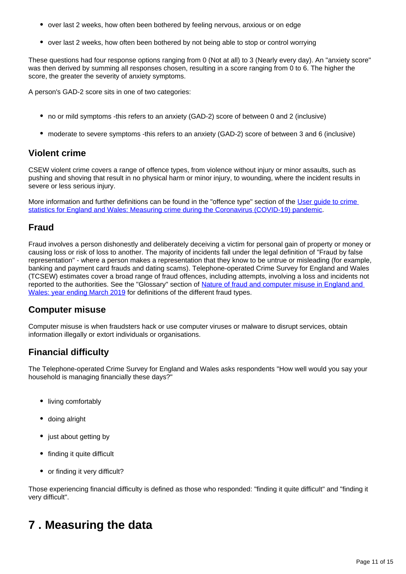- over last 2 weeks, how often been bothered by feeling nervous, anxious or on edge
- over last 2 weeks, how often been bothered by not being able to stop or control worrying

These questions had four response options ranging from 0 (Not at all) to 3 (Nearly every day). An "anxiety score" was then derived by summing all responses chosen, resulting in a score ranging from 0 to 6. The higher the score, the greater the severity of anxiety symptoms.

A person's GAD-2 score sits in one of two categories:

- no or mild symptoms -this refers to an anxiety (GAD-2) score of between 0 and 2 (inclusive)
- moderate to severe symptoms -this refers to an anxiety (GAD-2) score of between 3 and 6 (inclusive)

### **Violent crime**

CSEW violent crime covers a range of offence types, from violence without injury or minor assaults, such as pushing and shoving that result in no physical harm or minor injury, to wounding, where the incident results in severe or less serious injury.

More information and further definitions can be found in the "offence type" section of the [User guide to crime](https://www.ons.gov.uk/peoplepopulationandcommunity/crimeandjustice/methodologies/userguidetocrimestatisticsforenglandandwalesmeasuringcrimeduringthecoronaviruscovid19pandemic)  [statistics for England and Wales: Measuring crime during the Coronavirus \(COVID-19\) pandemic.](https://www.ons.gov.uk/peoplepopulationandcommunity/crimeandjustice/methodologies/userguidetocrimestatisticsforenglandandwalesmeasuringcrimeduringthecoronaviruscovid19pandemic)

### **Fraud**

Fraud involves a person dishonestly and deliberately deceiving a victim for personal gain of property or money or causing loss or risk of loss to another. The majority of incidents fall under the legal definition of "Fraud by false representation" - where a person makes a representation that they know to be untrue or misleading (for example, banking and payment card frauds and dating scams). Telephone-operated Crime Survey for England and Wales (TCSEW) estimates cover a broad range of fraud offences, including attempts, involving a loss and incidents not reported to the authorities. See the "Glossary" section of Nature of fraud and computer misuse in England and [Wales: year ending March 2019](https://www.ons.gov.uk/peoplepopulationandcommunity/crimeandjustice/articles/natureoffraudandcomputermisuseinenglandandwales/yearendingmarch2019#glossary) for definitions of the different fraud types.

### **Computer misuse**

Computer misuse is when fraudsters hack or use computer viruses or malware to disrupt services, obtain information illegally or extort individuals or organisations.

## **Financial difficulty**

The Telephone-operated Crime Survey for England and Wales asks respondents "How well would you say your household is managing financially these days?"

- living comfortably
- doing alright
- just about getting by
- finding it quite difficult
- or finding it very difficult?

Those experiencing financial difficulty is defined as those who responded: "finding it quite difficult" and "finding it very difficult".

## <span id="page-10-0"></span>**7 . Measuring the data**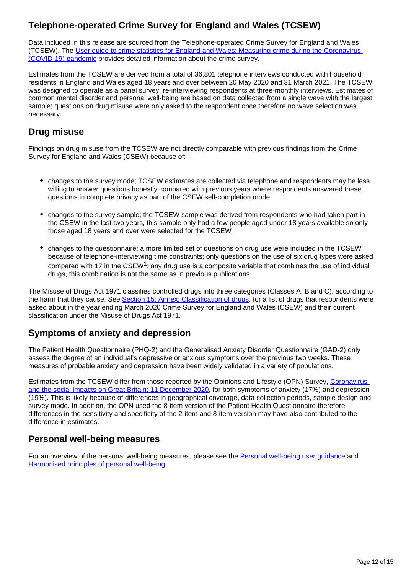## **Telephone-operated Crime Survey for England and Wales (TCSEW)**

Data included in this release are sourced from the Telephone-operated Crime Survey for England and Wales (TCSEW). The [User guide to crime statistics for England and Wales: Measuring crime during the Coronavirus](https://www.ons.gov.uk/peoplepopulationandcommunity/crimeandjustice/methodologies/userguidetocrimestatisticsforenglandandwalesmeasuringcrimeduringthecoronaviruscovid19pandemic)  [\(COVID-19\) pandemic](https://www.ons.gov.uk/peoplepopulationandcommunity/crimeandjustice/methodologies/userguidetocrimestatisticsforenglandandwalesmeasuringcrimeduringthecoronaviruscovid19pandemic) provides detailed information about the crime survey.

Estimates from the TCSEW are derived from a total of 36,801 telephone interviews conducted with household residents in England and Wales aged 18 years and over between 20 May 2020 and 31 March 2021. The TCSEW was designed to operate as a panel survey, re-interviewing respondents at three-monthly interviews. Estimates of common mental disorder and personal well-being are based on data collected from a single wave with the largest sample; questions on drug misuse were only asked to the respondent once therefore no wave selection was necessary.

## **Drug misuse**

Findings on drug misuse from the TCSEW are not directly comparable with previous findings from the Crime Survey for England and Wales (CSEW) because of:

- changes to the survey mode; TCSEW estimates are collected via telephone and respondents may be less willing to answer questions honestly compared with previous years where respondents answered these questions in complete privacy as part of the CSEW self-completion mode
- changes to the survey sample; the TCSEW sample was derived from respondents who had taken part in the CSEW in the last two years, this sample only had a few people aged under 18 years available so only those aged 18 years and over were selected for the TCSEW
- changes to the questionnaire: a more limited set of questions on drug use were included in the TCSEW because of telephone-interviewing time constraints; only questions on the use of six drug types were asked compared with 17 in the  $CSEW<sup>1</sup>$ : any drug use is a composite variable that combines the use of individual drugs, this combination is not the same as in previous publications

The Misuse of Drugs Act 1971 classifies controlled drugs into three categories (Classes A, B and C), according to the harm that they cause. See [Section 15: Annex: Classification of drugs](https://www.ons.gov.uk/peoplepopulationandcommunity/crimeandjustice/articles/drugmisuseinenglandandwales/yearendingmarch2020), for a list of drugs that respondents were asked about in the year ending March 2020 Crime Survey for England and Wales (CSEW) and their current classification under the Misuse of Drugs Act 1971.

### **Symptoms of anxiety and depression**

The Patient Health Questionnaire (PHQ-2) and the Generalised Anxiety Disorder Questionnaire (GAD-2) only assess the degree of an individual's depressive or anxious symptoms over the previous two weeks. These measures of probable anxiety and depression have been widely validated in a variety of populations.

Estimates from the TCSEW differ from those reported by the Opinions and Lifestyle (OPN) Survey, [Coronavirus](https://www.ons.gov.uk/peoplepopulationandcommunity/healthandsocialcare/healthandwellbeing/datasets/coronavirusanddepressionoranxietyingreatbritain)  [and the social impacts on Great Britain: 11 December 2020](https://www.ons.gov.uk/peoplepopulationandcommunity/healthandsocialcare/healthandwellbeing/datasets/coronavirusanddepressionoranxietyingreatbritain), for both symptoms of anxiety (17%) and depression (19%). This is likely because of differences in geographical coverage, data collection periods, sample design and survey mode. In addition, the OPN used the 8-item version of the Patient Health Questionnaire therefore differences in the sensitivity and specificity of the 2-item and 8-item version may have also contributed to the difference in estimates.

### **Personal well-being measures**

For an overview of the personal well-being measures, please see the [Personal well-being user guidance](https://www.ons.gov.uk/peoplepopulationandcommunity/wellbeing/methodologies/personalwellbeingsurveyuserguide) and [Harmonised principles of personal well-being](https://gss.civilservice.gov.uk/guidances/harmonisation/0-harmonised-principles/personal-well-being/).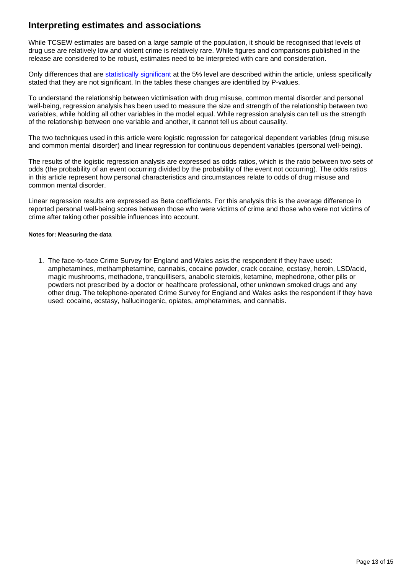## **Interpreting estimates and associations**

While TCSEW estimates are based on a large sample of the population, it should be recognised that levels of drug use are relatively low and violent crime is relatively rare. While figures and comparisons published in the release are considered to be robust, estimates need to be interpreted with care and consideration.

Only differences that are [statistically significant](https://www.ons.gov.uk/methodology/methodologytopicsandstatisticalconcepts/uncertaintyandhowwemeasureit#statistical-significance) at the 5% level are described within the article, unless specifically stated that they are not significant. In the tables these changes are identified by P-values.

To understand the relationship between victimisation with drug misuse, common mental disorder and personal well-being, regression analysis has been used to measure the size and strength of the relationship between two variables, while holding all other variables in the model equal. While regression analysis can tell us the strength of the relationship between one variable and another, it cannot tell us about causality.

The two techniques used in this article were logistic regression for categorical dependent variables (drug misuse and common mental disorder) and linear regression for continuous dependent variables (personal well-being).

The results of the logistic regression analysis are expressed as odds ratios, which is the ratio between two sets of odds (the probability of an event occurring divided by the probability of the event not occurring). The odds ratios in this article represent how personal characteristics and circumstances relate to odds of drug misuse and common mental disorder.

Linear regression results are expressed as Beta coefficients. For this analysis this is the average difference in reported personal well-being scores between those who were victims of crime and those who were not victims of crime after taking other possible influences into account.

#### **Notes for: Measuring the data**

1. The face-to-face Crime Survey for England and Wales asks the respondent if they have used: amphetamines, methamphetamine, cannabis, cocaine powder, crack cocaine, ecstasy, heroin, LSD/acid, magic mushrooms, methadone, tranquillisers, anabolic steroids, ketamine, mephedrone, other pills or powders not prescribed by a doctor or healthcare professional, other unknown smoked drugs and any other drug. The telephone-operated Crime Survey for England and Wales asks the respondent if they have used: cocaine, ecstasy, hallucinogenic, opiates, amphetamines, and cannabis.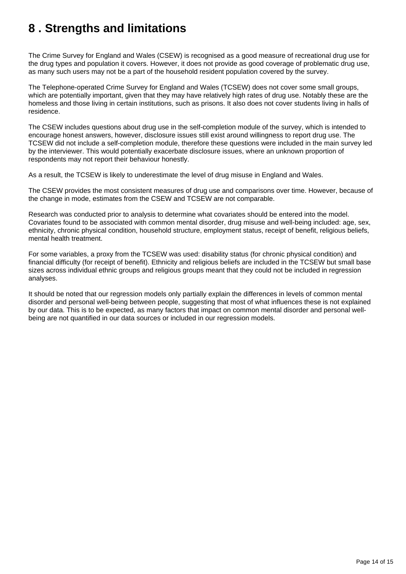## <span id="page-13-0"></span>**8 . Strengths and limitations**

The Crime Survey for England and Wales (CSEW) is recognised as a good measure of recreational drug use for the drug types and population it covers. However, it does not provide as good coverage of problematic drug use, as many such users may not be a part of the household resident population covered by the survey.

The Telephone-operated Crime Survey for England and Wales (TCSEW) does not cover some small groups, which are potentially important, given that they may have relatively high rates of drug use. Notably these are the homeless and those living in certain institutions, such as prisons. It also does not cover students living in halls of residence.

The CSEW includes questions about drug use in the self-completion module of the survey, which is intended to encourage honest answers, however, disclosure issues still exist around willingness to report drug use. The TCSEW did not include a self-completion module, therefore these questions were included in the main survey led by the interviewer. This would potentially exacerbate disclosure issues, where an unknown proportion of respondents may not report their behaviour honestly.

As a result, the TCSEW is likely to underestimate the level of drug misuse in England and Wales.

The CSEW provides the most consistent measures of drug use and comparisons over time. However, because of the change in mode, estimates from the CSEW and TCSEW are not comparable.

Research was conducted prior to analysis to determine what covariates should be entered into the model. Covariates found to be associated with common mental disorder, drug misuse and well-being included: age, sex, ethnicity, chronic physical condition, household structure, employment status, receipt of benefit, religious beliefs, mental health treatment.

For some variables, a proxy from the TCSEW was used: disability status (for chronic physical condition) and financial difficulty (for receipt of benefit). Ethnicity and religious beliefs are included in the TCSEW but small base sizes across individual ethnic groups and religious groups meant that they could not be included in regression analyses.

It should be noted that our regression models only partially explain the differences in levels of common mental disorder and personal well-being between people, suggesting that most of what influences these is not explained by our data. This is to be expected, as many factors that impact on common mental disorder and personal wellbeing are not quantified in our data sources or included in our regression models.